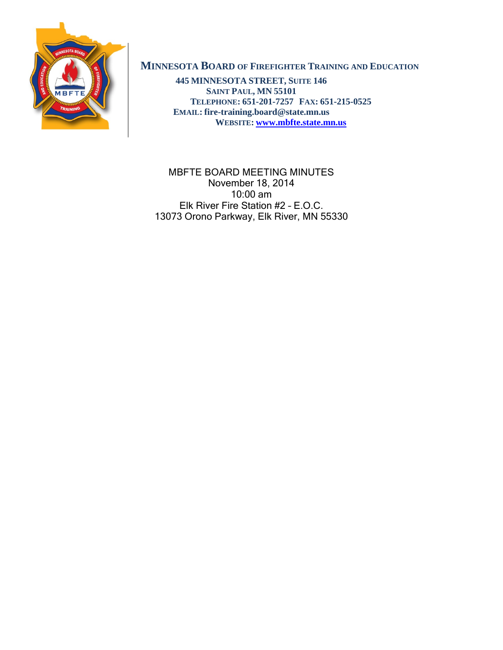

# **MINNESOTA BOARD OF FIREFIGHTER TRAINING AND EDUCATION**

**445 MINNESOTA STREET, SUITE 146 SAINT PAUL, MN 55101 TELEPHONE: 651-201-7257 FAX: 651-215-0525 EMAIL: fire-training.board@state.mn.us WEBSITE: [www.mbfte.state.mn.us](http://www.mbfte.state.mn.us/)**

MBFTE BOARD MEETING MINUTES November 18, 2014 10:00 am Elk River Fire Station #2 – E.O.C. 13073 Orono Parkway, Elk River, MN 55330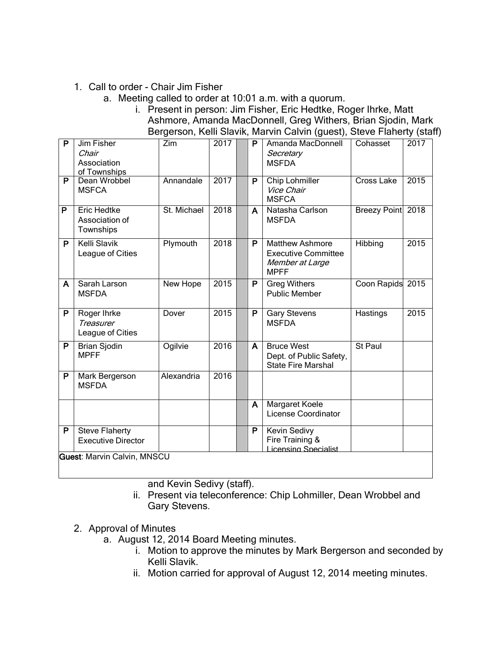## 1. Call to order - Chair Jim Fisher

a. Meeting called to order at 10:01 a.m. with a quorum.

i. Present in person: Jim Fisher, Eric Hedtke, Roger Ihrke, Matt Ashmore, Amanda MacDonnell, Greg Withers, Brian Sjodin, Mark Bergerson, Kelli Slavik, Marvin Calvin (guest), Steve Flaherty (staff)

| P                                  | Jim Fisher<br>Chair<br>Association<br>of Townships | $\overline{Z}$ im | 2017 |  | P | Amanda MacDonnell<br>Secretary<br><b>MSFDA</b>                                         | Cohasset          | 2017 |
|------------------------------------|----------------------------------------------------|-------------------|------|--|---|----------------------------------------------------------------------------------------|-------------------|------|
| P                                  | Dean Wrobbel<br><b>MSFCA</b>                       | Annandale         | 2017 |  | P | Chip Lohmiller<br>Vice Chair<br><b>MSFCA</b>                                           | Cross Lake        | 2015 |
| $\overline{P}$                     | <b>Eric Hedtke</b><br>Association of<br>Townships  | St. Michael       | 2018 |  | A | Natasha Carlson<br><b>MSFDA</b>                                                        | Breezy Point 2018 |      |
| P                                  | <b>Kelli Slavik</b><br>League of Cities            | Plymouth          | 2018 |  | P | <b>Matthew Ashmore</b><br><b>Executive Committee</b><br>Member at Large<br><b>MPFF</b> | Hibbing           | 2015 |
| A                                  | Sarah Larson<br><b>MSFDA</b>                       | New Hope          | 2015 |  | P | <b>Greg Withers</b><br><b>Public Member</b>                                            | Coon Rapids 2015  |      |
| P                                  | Roger Ihrke<br>Treasurer<br>League of Cities       | Dover             | 2015 |  | P | <b>Gary Stevens</b><br><b>MSFDA</b>                                                    | Hastings          | 2015 |
| $\overline{P}$                     | <b>Brian Sjodin</b><br><b>MPFF</b>                 | Ogilvie           | 2016 |  | A | <b>Bruce West</b><br>Dept. of Public Safety,<br><b>State Fire Marshal</b>              | St Paul           |      |
| P                                  | Mark Bergerson<br><b>MSFDA</b>                     | Alexandria        | 2016 |  |   |                                                                                        |                   |      |
|                                    |                                                    |                   |      |  | A | Margaret Koele<br>License Coordinator                                                  |                   |      |
| P                                  | <b>Steve Flaherty</b><br><b>Executive Director</b> |                   |      |  | P | Kevin Sedivy<br>Fire Training &<br>Licensing Specialist                                |                   |      |
| <b>Guest: Marvin Calvin, MNSCU</b> |                                                    |                   |      |  |   |                                                                                        |                   |      |

and Kevin Sedivy (staff).

ii. Present via teleconference: Chip Lohmiller, Dean Wrobbel and Gary Stevens.

- 2. Approval of Minutes
	- a. August 12, 2014 Board Meeting minutes.
		- i. Motion to approve the minutes by Mark Bergerson and seconded by Kelli Slavik.
		- ii. Motion carried for approval of August 12, 2014 meeting minutes.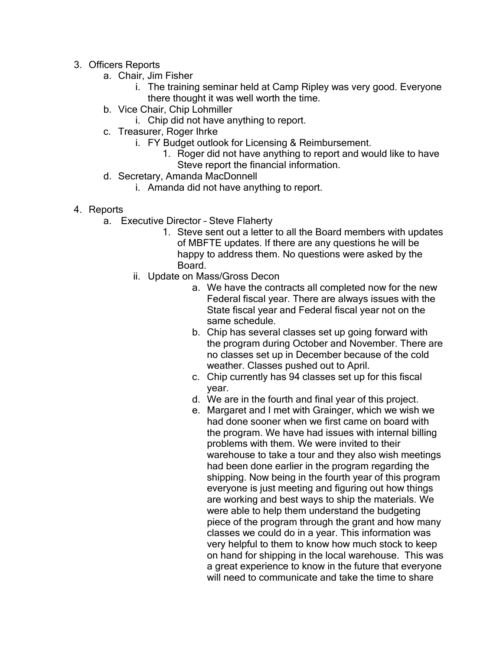- 3. Officers Reports
	- a. Chair, Jim Fisher
		- i. The training seminar held at Camp Ripley was very good. Everyone there thought it was well worth the time.
	- b. Vice Chair, Chip Lohmiller
		- i. Chip did not have anything to report.
	- c. Treasurer, Roger Ihrke
		- i. FY Budget outlook for Licensing & Reimbursement.
			- 1. Roger did not have anything to report and would like to have Steve report the financial information.
	- d. Secretary, Amanda MacDonnell
		- i. Amanda did not have anything to report.
- 4. Reports
	- a. Executive Director Steve Flaherty
		- 1. Steve sent out a letter to all the Board members with updates of MBFTE updates. If there are any questions he will be happy to address them. No questions were asked by the Board.
		- ii. Update on Mass/Gross Decon
			- a. We have the contracts all completed now for the new Federal fiscal year. There are always issues with the State fiscal year and Federal fiscal year not on the same schedule.
			- b. Chip has several classes set up going forward with the program during October and November. There are no classes set up in December because of the cold weather. Classes pushed out to April.
			- c. Chip currently has 94 classes set up for this fiscal year.
			- d. We are in the fourth and final year of this project.
			- e. Margaret and I met with Grainger, which we wish we had done sooner when we first came on board with the program. We have had issues with internal billing problems with them. We were invited to their warehouse to take a tour and they also wish meetings had been done earlier in the program regarding the shipping. Now being in the fourth year of this program everyone is just meeting and figuring out how things are working and best ways to ship the materials. We were able to help them understand the budgeting piece of the program through the grant and how many classes we could do in a year. This information was very helpful to them to know how much stock to keep on hand for shipping in the local warehouse. This was a great experience to know in the future that everyone will need to communicate and take the time to share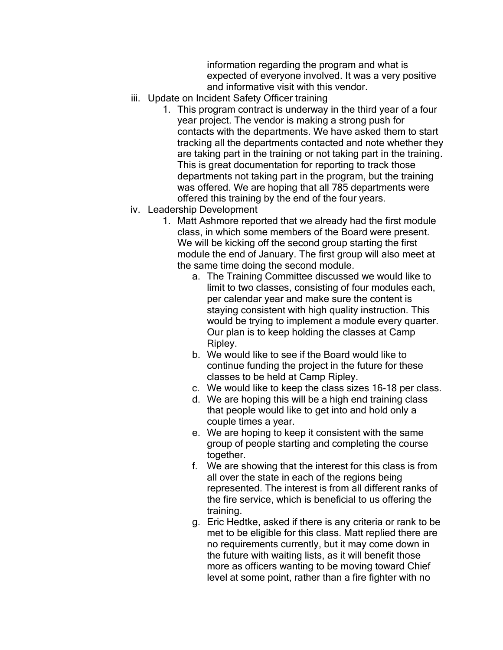information regarding the program and what is expected of everyone involved. It was a very positive and informative visit with this vendor.

- iii. Update on Incident Safety Officer training
	- 1. This program contract is underway in the third year of a four year project. The vendor is making a strong push for contacts with the departments. We have asked them to start tracking all the departments contacted and note whether they are taking part in the training or not taking part in the training. This is great documentation for reporting to track those departments not taking part in the program, but the training was offered. We are hoping that all 785 departments were offered this training by the end of the four years.
- iv. Leadership Development
	- 1. Matt Ashmore reported that we already had the first module class, in which some members of the Board were present. We will be kicking off the second group starting the first module the end of January. The first group will also meet at the same time doing the second module.
		- a. The Training Committee discussed we would like to limit to two classes, consisting of four modules each, per calendar year and make sure the content is staying consistent with high quality instruction. This would be trying to implement a module every quarter. Our plan is to keep holding the classes at Camp Ripley.
		- b. We would like to see if the Board would like to continue funding the project in the future for these classes to be held at Camp Ripley.
		- c. We would like to keep the class sizes 16-18 per class.
		- d. We are hoping this will be a high end training class that people would like to get into and hold only a couple times a year.
		- e. We are hoping to keep it consistent with the same group of people starting and completing the course together.
		- f. We are showing that the interest for this class is from all over the state in each of the regions being represented. The interest is from all different ranks of the fire service, which is beneficial to us offering the training.
		- g. Eric Hedtke, asked if there is any criteria or rank to be met to be eligible for this class. Matt replied there are no requirements currently, but it may come down in the future with waiting lists, as it will benefit those more as officers wanting to be moving toward Chief level at some point, rather than a fire fighter with no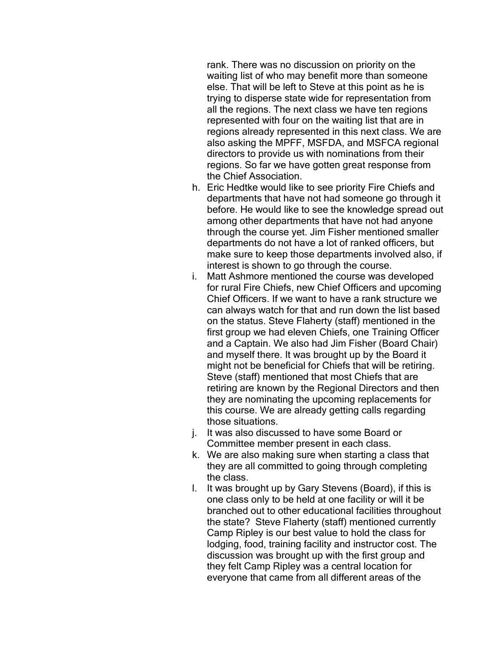rank. There was no discussion on priority on the waiting list of who may benefit more than someone else. That will be left to Steve at this point as he is trying to disperse state wide for representation from all the regions. The next class we have ten regions represented with four on the waiting list that are in regions already represented in this next class. We are also asking the MPFF, MSFDA, and MSFCA regional directors to provide us with nominations from their regions. So far we have gotten great response from the Chief Association.

- h. Eric Hedtke would like to see priority Fire Chiefs and departments that have not had someone go through it before. He would like to see the knowledge spread out among other departments that have not had anyone through the course yet. Jim Fisher mentioned smaller departments do not have a lot of ranked officers, but make sure to keep those departments involved also, if interest is shown to go through the course.
- i. Matt Ashmore mentioned the course was developed for rural Fire Chiefs, new Chief Officers and upcoming Chief Officers. If we want to have a rank structure we can always watch for that and run down the list based on the status. Steve Flaherty (staff) mentioned in the first group we had eleven Chiefs, one Training Officer and a Captain. We also had Jim Fisher (Board Chair) and myself there. It was brought up by the Board it might not be beneficial for Chiefs that will be retiring. Steve (staff) mentioned that most Chiefs that are retiring are known by the Regional Directors and then they are nominating the upcoming replacements for this course. We are already getting calls regarding those situations.
- j. It was also discussed to have some Board or Committee member present in each class.
- k. We are also making sure when starting a class that they are all committed to going through completing the class.
- l. It was brought up by Gary Stevens (Board), if this is one class only to be held at one facility or will it be branched out to other educational facilities throughout the state? Steve Flaherty (staff) mentioned currently Camp Ripley is our best value to hold the class for lodging, food, training facility and instructor cost. The discussion was brought up with the first group and they felt Camp Ripley was a central location for everyone that came from all different areas of the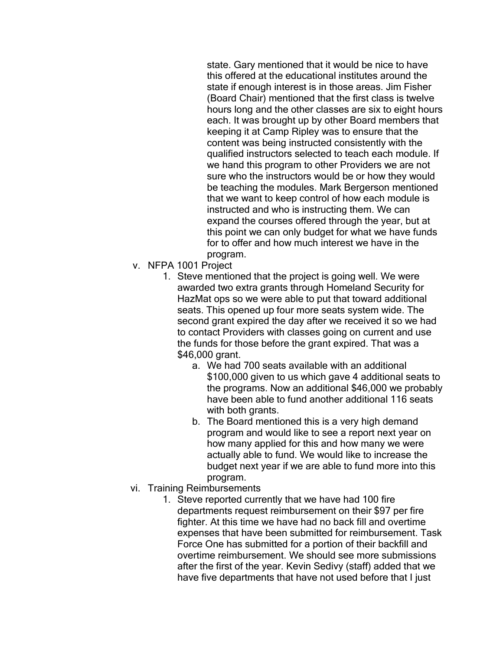state. Gary mentioned that it would be nice to have this offered at the educational institutes around the state if enough interest is in those areas. Jim Fisher (Board Chair) mentioned that the first class is twelve hours long and the other classes are six to eight hours each. It was brought up by other Board members that keeping it at Camp Ripley was to ensure that the content was being instructed consistently with the qualified instructors selected to teach each module. If we hand this program to other Providers we are not sure who the instructors would be or how they would be teaching the modules. Mark Bergerson mentioned that we want to keep control of how each module is instructed and who is instructing them. We can expand the courses offered through the year, but at this point we can only budget for what we have funds for to offer and how much interest we have in the program.

- v. NFPA 1001 Project
	- 1. Steve mentioned that the project is going well. We were awarded two extra grants through Homeland Security for HazMat ops so we were able to put that toward additional seats. This opened up four more seats system wide. The second grant expired the day after we received it so we had to contact Providers with classes going on current and use the funds for those before the grant expired. That was a \$46,000 grant.
		- a. We had 700 seats available with an additional \$100,000 given to us which gave 4 additional seats to the programs. Now an additional \$46,000 we probably have been able to fund another additional 116 seats with both grants.
		- b. The Board mentioned this is a very high demand program and would like to see a report next year on how many applied for this and how many we were actually able to fund. We would like to increase the budget next year if we are able to fund more into this program.
- vi. Training Reimbursements
	- 1. Steve reported currently that we have had 100 fire departments request reimbursement on their \$97 per fire fighter. At this time we have had no back fill and overtime expenses that have been submitted for reimbursement. Task Force One has submitted for a portion of their backfill and overtime reimbursement. We should see more submissions after the first of the year. Kevin Sedivy (staff) added that we have five departments that have not used before that I just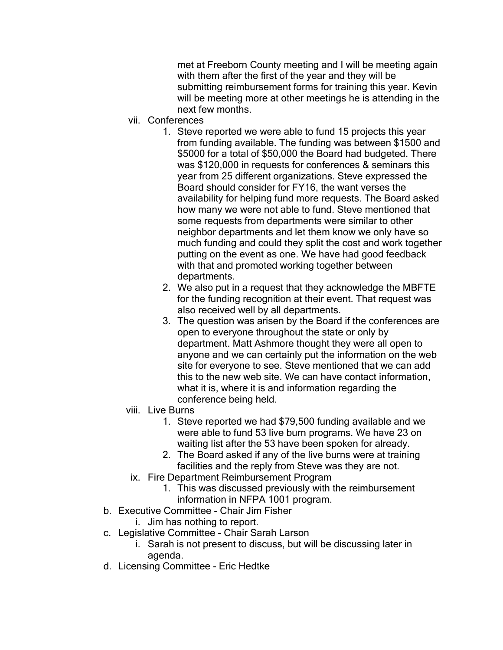met at Freeborn County meeting and I will be meeting again with them after the first of the year and they will be submitting reimbursement forms for training this year. Kevin will be meeting more at other meetings he is attending in the next few months.

- vii. Conferences
	- 1. Steve reported we were able to fund 15 projects this year from funding available. The funding was between \$1500 and \$5000 for a total of \$50,000 the Board had budgeted. There was \$120,000 in requests for conferences & seminars this year from 25 different organizations. Steve expressed the Board should consider for FY16, the want verses the availability for helping fund more requests. The Board asked how many we were not able to fund. Steve mentioned that some requests from departments were similar to other neighbor departments and let them know we only have so much funding and could they split the cost and work together putting on the event as one. We have had good feedback with that and promoted working together between departments.
	- 2. We also put in a request that they acknowledge the MBFTE for the funding recognition at their event. That request was also received well by all departments.
	- 3. The question was arisen by the Board if the conferences are open to everyone throughout the state or only by department. Matt Ashmore thought they were all open to anyone and we can certainly put the information on the web site for everyone to see. Steve mentioned that we can add this to the new web site. We can have contact information, what it is, where it is and information regarding the conference being held.
- viii. Live Burns
	- 1. Steve reported we had \$79,500 funding available and we were able to fund 53 live burn programs. We have 23 on waiting list after the 53 have been spoken for already.
	- 2. The Board asked if any of the live burns were at training facilities and the reply from Steve was they are not.
- ix. Fire Department Reimbursement Program
	- 1. This was discussed previously with the reimbursement information in NFPA 1001 program.
- b. Executive Committee Chair Jim Fisher
	- i. Jim has nothing to report.
- c. Legislative Committee Chair Sarah Larson
	- i. Sarah is not present to discuss, but will be discussing later in agenda.
- d. Licensing Committee Eric Hedtke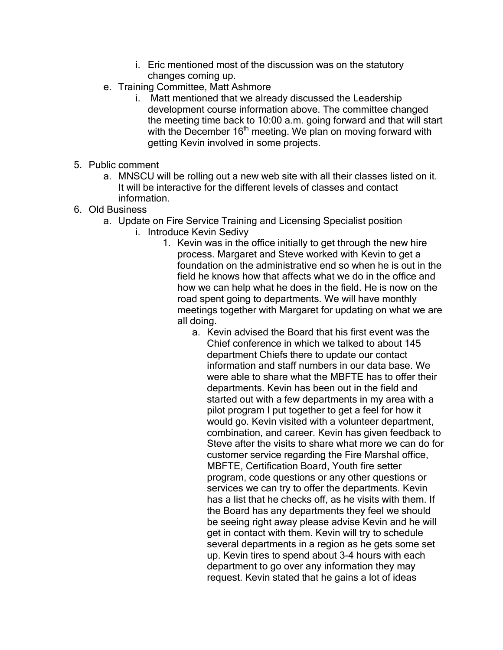- i. Eric mentioned most of the discussion was on the statutory changes coming up.
- e. Training Committee, Matt Ashmore
	- i. Matt mentioned that we already discussed the Leadership development course information above. The committee changed the meeting time back to 10:00 a.m. going forward and that will start with the December  $16<sup>th</sup>$  meeting. We plan on moving forward with getting Kevin involved in some projects.
- 5. Public comment
	- a. MNSCU will be rolling out a new web site with all their classes listed on it. It will be interactive for the different levels of classes and contact information.
- 6. Old Business
	- a. Update on Fire Service Training and Licensing Specialist position
		- i. Introduce Kevin Sedivy
			- 1. Kevin was in the office initially to get through the new hire process. Margaret and Steve worked with Kevin to get a foundation on the administrative end so when he is out in the field he knows how that affects what we do in the office and how we can help what he does in the field. He is now on the road spent going to departments. We will have monthly meetings together with Margaret for updating on what we are all doing.
				- a. Kevin advised the Board that his first event was the Chief conference in which we talked to about 145 department Chiefs there to update our contact information and staff numbers in our data base. We were able to share what the MBFTE has to offer their departments. Kevin has been out in the field and started out with a few departments in my area with a pilot program I put together to get a feel for how it would go. Kevin visited with a volunteer department, combination, and career. Kevin has given feedback to Steve after the visits to share what more we can do for customer service regarding the Fire Marshal office, MBFTE, Certification Board, Youth fire setter program, code questions or any other questions or services we can try to offer the departments. Kevin has a list that he checks off, as he visits with them. If the Board has any departments they feel we should be seeing right away please advise Kevin and he will get in contact with them. Kevin will try to schedule several departments in a region as he gets some set up. Kevin tires to spend about 3-4 hours with each department to go over any information they may request. Kevin stated that he gains a lot of ideas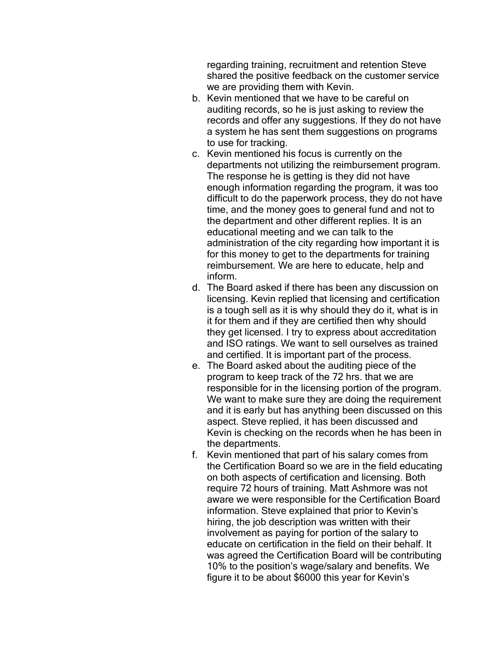regarding training, recruitment and retention Steve shared the positive feedback on the customer service we are providing them with Kevin.

- b. Kevin mentioned that we have to be careful on auditing records, so he is just asking to review the records and offer any suggestions. If they do not have a system he has sent them suggestions on programs to use for tracking.
- c. Kevin mentioned his focus is currently on the departments not utilizing the reimbursement program. The response he is getting is they did not have enough information regarding the program, it was too difficult to do the paperwork process, they do not have time, and the money goes to general fund and not to the department and other different replies. It is an educational meeting and we can talk to the administration of the city regarding how important it is for this money to get to the departments for training reimbursement. We are here to educate, help and inform.
- d. The Board asked if there has been any discussion on licensing. Kevin replied that licensing and certification is a tough sell as it is why should they do it, what is in it for them and if they are certified then why should they get licensed. I try to express about accreditation and ISO ratings. We want to sell ourselves as trained and certified. It is important part of the process.
- e. The Board asked about the auditing piece of the program to keep track of the 72 hrs. that we are responsible for in the licensing portion of the program. We want to make sure they are doing the requirement and it is early but has anything been discussed on this aspect. Steve replied, it has been discussed and Kevin is checking on the records when he has been in the departments.
- f. Kevin mentioned that part of his salary comes from the Certification Board so we are in the field educating on both aspects of certification and licensing. Both require 72 hours of training. Matt Ashmore was not aware we were responsible for the Certification Board information. Steve explained that prior to Kevin's hiring, the job description was written with their involvement as paying for portion of the salary to educate on certification in the field on their behalf. It was agreed the Certification Board will be contributing 10% to the position's wage/salary and benefits. We figure it to be about \$6000 this year for Kevin's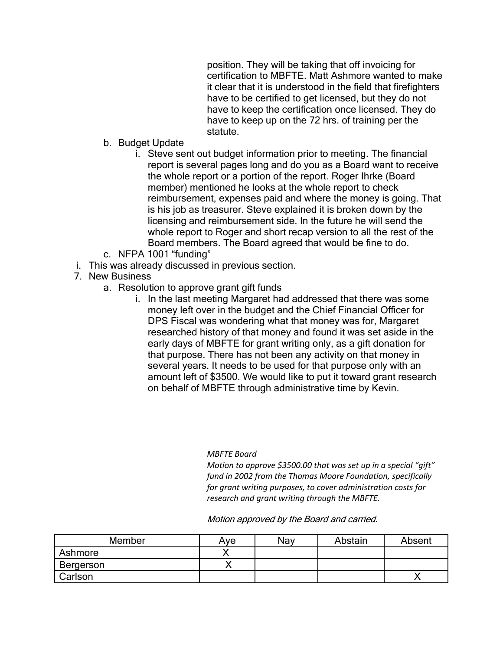position. They will be taking that off invoicing for certification to MBFTE. Matt Ashmore wanted to make it clear that it is understood in the field that firefighters have to be certified to get licensed, but they do not have to keep the certification once licensed. They do have to keep up on the 72 hrs. of training per the statute.

- b. Budget Update
	- i. Steve sent out budget information prior to meeting. The financial report is several pages long and do you as a Board want to receive the whole report or a portion of the report. Roger Ihrke (Board member) mentioned he looks at the whole report to check reimbursement, expenses paid and where the money is going. That is his job as treasurer. Steve explained it is broken down by the licensing and reimbursement side. In the future he will send the whole report to Roger and short recap version to all the rest of the Board members. The Board agreed that would be fine to do.
- c. NFPA 1001 "funding"
- i. This was already discussed in previous section.
- 7. New Business
	- a. Resolution to approve grant gift funds
		- i. In the last meeting Margaret had addressed that there was some money left over in the budget and the Chief Financial Officer for DPS Fiscal was wondering what that money was for, Margaret researched history of that money and found it was set aside in the early days of MBFTE for grant writing only, as a gift donation for that purpose. There has not been any activity on that money in several years. It needs to be used for that purpose only with an amount left of \$3500. We would like to put it toward grant research on behalf of MBFTE through administrative time by Kevin.

#### *MBFTE Board*

*Motion to approve \$3500.00 that was set up in a special "gift" fund in 2002 from the Thomas Moore Foundation, specifically for grant writing purposes, to cover administration costs for research and grant writing through the MBFTE.*

Motion approved by the Board and carried.

| Member    | Ave | Nav | Abstain | Absent |
|-----------|-----|-----|---------|--------|
| Ashmore   |     |     |         |        |
| Bergerson |     |     |         |        |
| Carlson   |     |     |         |        |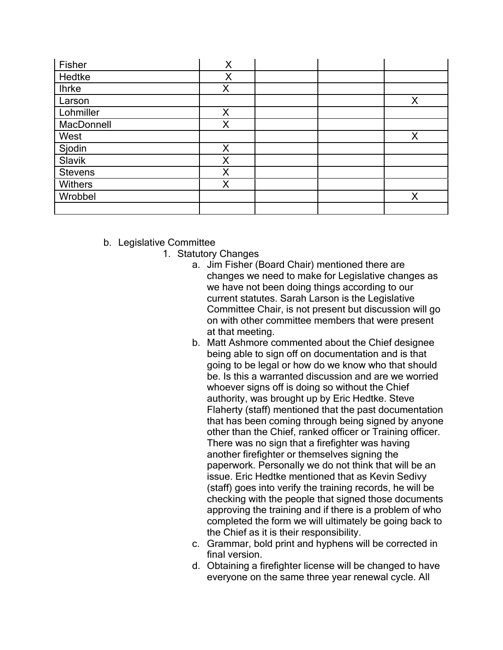| Fisher         | X |  |   |
|----------------|---|--|---|
| Hedtke         | Χ |  |   |
| <b>Ihrke</b>   | X |  |   |
| Larson         |   |  | X |
| Lohmiller      | X |  |   |
| MacDonnell     | Χ |  |   |
| West           |   |  | X |
| Sjodin         | Χ |  |   |
| Slavik         | X |  |   |
| <b>Stevens</b> | X |  |   |
| <b>Withers</b> | Χ |  |   |
| Wrobbel        |   |  | X |
|                |   |  |   |

- b. Legislative Committee
	- 1. Statutory Changes
		- a. Jim Fisher (Board Chair) mentioned there are changes we need to make for Legislative changes as we have not been doing things according to our current statutes. Sarah Larson is the Legislative Committee Chair, is not present but discussion will go on with other committee members that were present at that meeting.
		- b. Matt Ashmore commented about the Chief designee being able to sign off on documentation and is that going to be legal or how do we know who that should be. Is this a warranted discussion and are we worried whoever signs off is doing so without the Chief authority, was brought up by Eric Hedtke. Steve Flaherty (staff) mentioned that the past documentation that has been coming through being signed by anyone other than the Chief, ranked officer or Training officer. There was no sign that a firefighter was having another firefighter or themselves signing the paperwork. Personally we do not think that will be an issue. Eric Hedtke mentioned that as Kevin Sedivy (staff) goes into verify the training records, he will be checking with the people that signed those documents approving the training and if there is a problem of who completed the form we will ultimately be going back to the Chief as it is their responsibility.
		- c. Grammar, bold print and hyphens will be corrected in final version.
		- d. Obtaining a firefighter license will be changed to have everyone on the same three year renewal cycle. All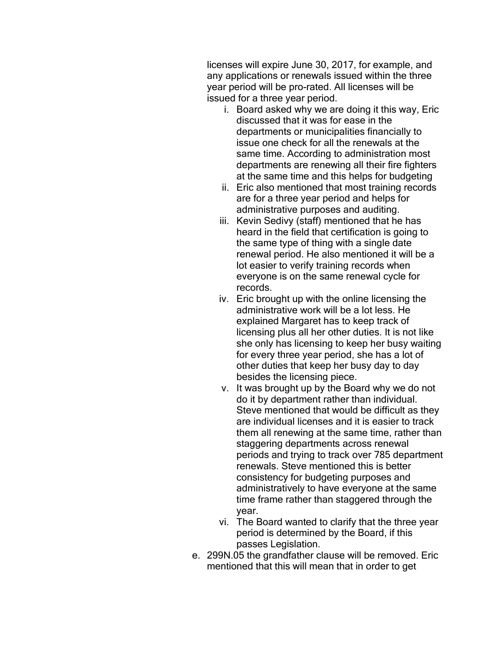licenses will expire June 30, 2017, for example, and any applications or renewals issued within the three year period will be pro-rated. All licenses will be issued for a three year period.

- i. Board asked why we are doing it this way, Eric discussed that it was for ease in the departments or municipalities financially to issue one check for all the renewals at the same time. According to administration most departments are renewing all their fire fighters at the same time and this helps for budgeting
- ii. Eric also mentioned that most training records are for a three year period and helps for administrative purposes and auditing.
- iii. Kevin Sedivy (staff) mentioned that he has heard in the field that certification is going to the same type of thing with a single date renewal period. He also mentioned it will be a lot easier to verify training records when everyone is on the same renewal cycle for records.
- iv. Eric brought up with the online licensing the administrative work will be a lot less. He explained Margaret has to keep track of licensing plus all her other duties. It is not like she only has licensing to keep her busy waiting for every three year period, she has a lot of other duties that keep her busy day to day besides the licensing piece.
- v. It was brought up by the Board why we do not do it by department rather than individual. Steve mentioned that would be difficult as they are individual licenses and it is easier to track them all renewing at the same time, rather than staggering departments across renewal periods and trying to track over 785 department renewals. Steve mentioned this is better consistency for budgeting purposes and administratively to have everyone at the same time frame rather than staggered through the year.
- vi. The Board wanted to clarify that the three year period is determined by the Board, if this passes Legislation.
- e. 299N.05 the grandfather clause will be removed. Eric mentioned that this will mean that in order to get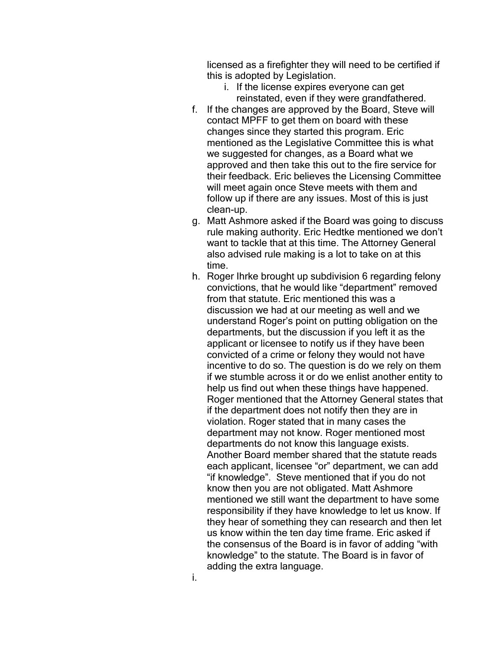licensed as a firefighter they will need to be certified if this is adopted by Legislation.

- i. If the license expires everyone can get reinstated, even if they were grandfathered.
- f. If the changes are approved by the Board, Steve will contact MPFF to get them on board with these changes since they started this program. Eric mentioned as the Legislative Committee this is what we suggested for changes, as a Board what we approved and then take this out to the fire service for their feedback. Eric believes the Licensing Committee will meet again once Steve meets with them and follow up if there are any issues. Most of this is just clean-up.
- g. Matt Ashmore asked if the Board was going to discuss rule making authority. Eric Hedtke mentioned we don't want to tackle that at this time. The Attorney General also advised rule making is a lot to take on at this time.
- h. Roger Ihrke brought up subdivision 6 regarding felony convictions, that he would like "department" removed from that statute. Eric mentioned this was a discussion we had at our meeting as well and we understand Roger's point on putting obligation on the departments, but the discussion if you left it as the applicant or licensee to notify us if they have been convicted of a crime or felony they would not have incentive to do so. The question is do we rely on them if we stumble across it or do we enlist another entity to help us find out when these things have happened. Roger mentioned that the Attorney General states that if the department does not notify then they are in violation. Roger stated that in many cases the department may not know. Roger mentioned most departments do not know this language exists. Another Board member shared that the statute reads each applicant, licensee "or" department, we can add "if knowledge". Steve mentioned that if you do not know then you are not obligated. Matt Ashmore mentioned we still want the department to have some responsibility if they have knowledge to let us know. If they hear of something they can research and then let us know within the ten day time frame. Eric asked if the consensus of the Board is in favor of adding "with knowledge" to the statute. The Board is in favor of adding the extra language.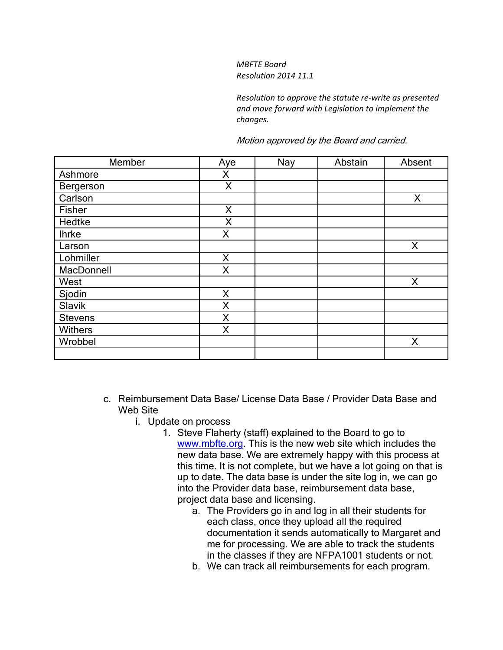### *MBFTE Board Resolution 2014 11.1*

*Resolution to approve the statute re-write as presented and move forward with Legislation to implement the changes.* 

#### Motion approved by the Board and carried.

| Member         | Aye | Nay | Abstain | Absent |
|----------------|-----|-----|---------|--------|
| Ashmore        | X   |     |         |        |
| Bergerson      | X   |     |         |        |
| Carlson        |     |     |         | X      |
| Fisher         | X   |     |         |        |
| Hedtke         | X   |     |         |        |
| <b>Ihrke</b>   | X   |     |         |        |
| Larson         |     |     |         | X      |
| Lohmiller      | X   |     |         |        |
| MacDonnell     | X   |     |         |        |
| West           |     |     |         | X      |
| Sjodin         | X   |     |         |        |
| Slavik         | X   |     |         |        |
| <b>Stevens</b> | X   |     |         |        |
| <b>Withers</b> | X   |     |         |        |
| Wrobbel        |     |     |         | X      |
|                |     |     |         |        |

- c. Reimbursement Data Base/ License Data Base / Provider Data Base and Web Site
	- i. Update on process
		- 1. Steve Flaherty (staff) explained to the Board to go to [www.mbfte.org.](http://www.mbfte.org/) This is the new web site which includes the new data base. We are extremely happy with this process at this time. It is not complete, but we have a lot going on that is up to date. The data base is under the site log in, we can go into the Provider data base, reimbursement data base, project data base and licensing.
			- a. The Providers go in and log in all their students for each class, once they upload all the required documentation it sends automatically to Margaret and me for processing. We are able to track the students in the classes if they are NFPA1001 students or not.
			- b. We can track all reimbursements for each program.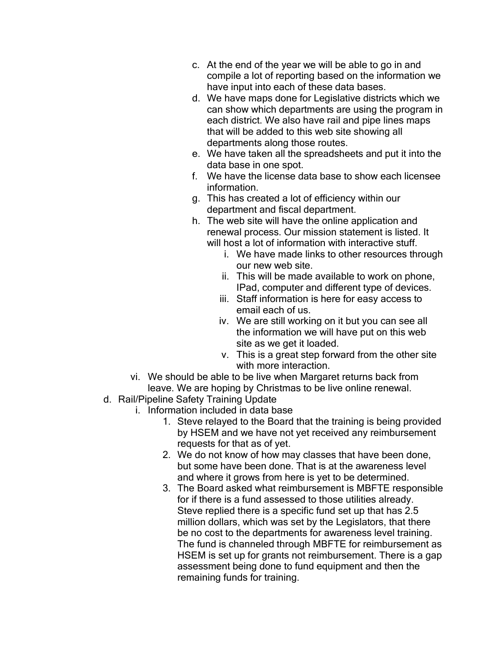- c. At the end of the year we will be able to go in and compile a lot of reporting based on the information we have input into each of these data bases.
- d. We have maps done for Legislative districts which we can show which departments are using the program in each district. We also have rail and pipe lines maps that will be added to this web site showing all departments along those routes.
- e. We have taken all the spreadsheets and put it into the data base in one spot.
- f. We have the license data base to show each licensee information.
- g. This has created a lot of efficiency within our department and fiscal department.
- h. The web site will have the online application and renewal process. Our mission statement is listed. It will host a lot of information with interactive stuff.
	- i. We have made links to other resources through our new web site.
	- ii. This will be made available to work on phone, IPad, computer and different type of devices.
	- iii. Staff information is here for easy access to email each of us.
	- iv. We are still working on it but you can see all the information we will have put on this web site as we get it loaded.
	- v. This is a great step forward from the other site with more interaction.
- vi. We should be able to be live when Margaret returns back from leave. We are hoping by Christmas to be live online renewal.
- d. Rail/Pipeline Safety Training Update
	- i. Information included in data base
		- 1. Steve relayed to the Board that the training is being provided by HSEM and we have not yet received any reimbursement requests for that as of yet.
		- 2. We do not know of how may classes that have been done, but some have been done. That is at the awareness level and where it grows from here is yet to be determined.
		- 3. The Board asked what reimbursement is MBFTE responsible for if there is a fund assessed to those utilities already. Steve replied there is a specific fund set up that has 2.5 million dollars, which was set by the Legislators, that there be no cost to the departments for awareness level training. The fund is channeled through MBFTE for reimbursement as HSEM is set up for grants not reimbursement. There is a gap assessment being done to fund equipment and then the remaining funds for training.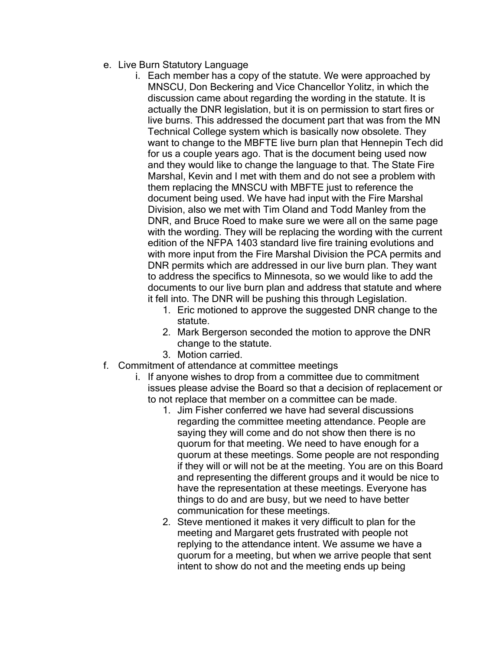- e. Live Burn Statutory Language
	- i. Each member has a copy of the statute. We were approached by MNSCU, Don Beckering and Vice Chancellor Yolitz, in which the discussion came about regarding the wording in the statute. It is actually the DNR legislation, but it is on permission to start fires or live burns. This addressed the document part that was from the MN Technical College system which is basically now obsolete. They want to change to the MBFTE live burn plan that Hennepin Tech did for us a couple years ago. That is the document being used now and they would like to change the language to that. The State Fire Marshal, Kevin and I met with them and do not see a problem with them replacing the MNSCU with MBFTE just to reference the document being used. We have had input with the Fire Marshal Division, also we met with Tim Oland and Todd Manley from the DNR, and Bruce Roed to make sure we were all on the same page with the wording. They will be replacing the wording with the current edition of the NFPA 1403 standard live fire training evolutions and with more input from the Fire Marshal Division the PCA permits and DNR permits which are addressed in our live burn plan. They want to address the specifics to Minnesota, so we would like to add the documents to our live burn plan and address that statute and where it fell into. The DNR will be pushing this through Legislation.
		- 1. Eric motioned to approve the suggested DNR change to the statute.
		- 2. Mark Bergerson seconded the motion to approve the DNR change to the statute.
		- 3. Motion carried.
- f. Commitment of attendance at committee meetings
	- i. If anyone wishes to drop from a committee due to commitment issues please advise the Board so that a decision of replacement or to not replace that member on a committee can be made.
		- 1. Jim Fisher conferred we have had several discussions regarding the committee meeting attendance. People are saying they will come and do not show then there is no quorum for that meeting. We need to have enough for a quorum at these meetings. Some people are not responding if they will or will not be at the meeting. You are on this Board and representing the different groups and it would be nice to have the representation at these meetings. Everyone has things to do and are busy, but we need to have better communication for these meetings.
		- 2. Steve mentioned it makes it very difficult to plan for the meeting and Margaret gets frustrated with people not replying to the attendance intent. We assume we have a quorum for a meeting, but when we arrive people that sent intent to show do not and the meeting ends up being